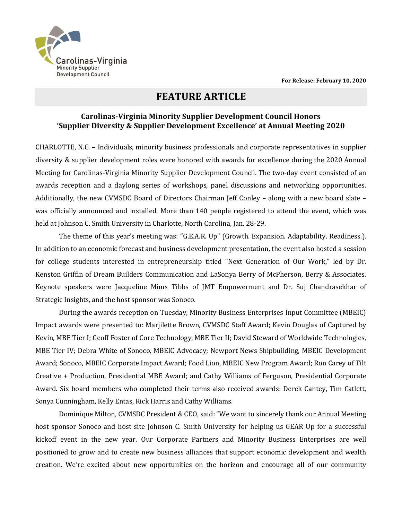

## **FEATURE ARTICLE**

## **Carolinas-Virginia Minority Supplier Development Council Honors 'Supplier Diversity & Supplier Development Excellence' at Annual Meeting 2020**

CHARLOTTE, N.C. – Individuals, minority business professionals and corporate representatives in supplier diversity & supplier development roles were honored with awards for excellence during the 2020 Annual Meeting for Carolinas-Virginia Minority Supplier Development Council. The two-day event consisted of an awards reception and a daylong series of workshops, panel discussions and networking opportunities. Additionally, the new CVMSDC Board of Directors Chairman Jeff Conley – along with a new board slate – was officially announced and installed. More than 140 people registered to attend the event, which was held at Johnson C. Smith University in Charlotte, North Carolina, Jan. 28-29.

The theme of this year's meeting was: "G.E.A.R. Up" (Growth. Expansion. Adaptability. Readiness.). In addition to an economic forecast and business development presentation, the event also hosted a session for college students interested in entrepreneurship titled "Next Generation of Our Work," led by Dr. Kenston Griffin of Dream Builders Communication and LaSonya Berry of McPherson, Berry & Associates. Keynote speakers were Jacqueline Mims Tibbs of JMT Empowerment and Dr. Suj Chandrasekhar of Strategic Insights, and the host sponsor was Sonoco.

During the awards reception on Tuesday, Minority Business Enterprises Input Committee (MBEIC) Impact awards were presented to: Marjilette Brown, CVMSDC Staff Award; Kevin Douglas of Captured by Kevin, MBE Tier I; Geoff Foster of Core Technology, MBE Tier II; David Steward of Worldwide Technologies, MBE Tier IV; Debra White of Sonoco, MBEIC Advocacy; Newport News Shipbuilding, MBEIC Development Award; Sonoco, MBEIC Corporate Impact Award; Food Lion, MBEIC New Program Award; Ron Carey of Tilt Creative + Production, Presidential MBE Award; and Cathy Williams of Ferguson, Presidential Corporate Award. Six board members who completed their terms also received awards: Derek Cantey, Tim Catlett, Sonya Cunningham, Kelly Entas, Rick Harris and Cathy Williams.

Dominique Milton, CVMSDC President & CEO, said: "We want to sincerely thank our Annual Meeting host sponsor Sonoco and host site Johnson C. Smith University for helping us GEAR Up for a successful kickoff event in the new year. Our Corporate Partners and Minority Business Enterprises are well positioned to grow and to create new business alliances that support economic development and wealth creation. We're excited about new opportunities on the horizon and encourage all of our community